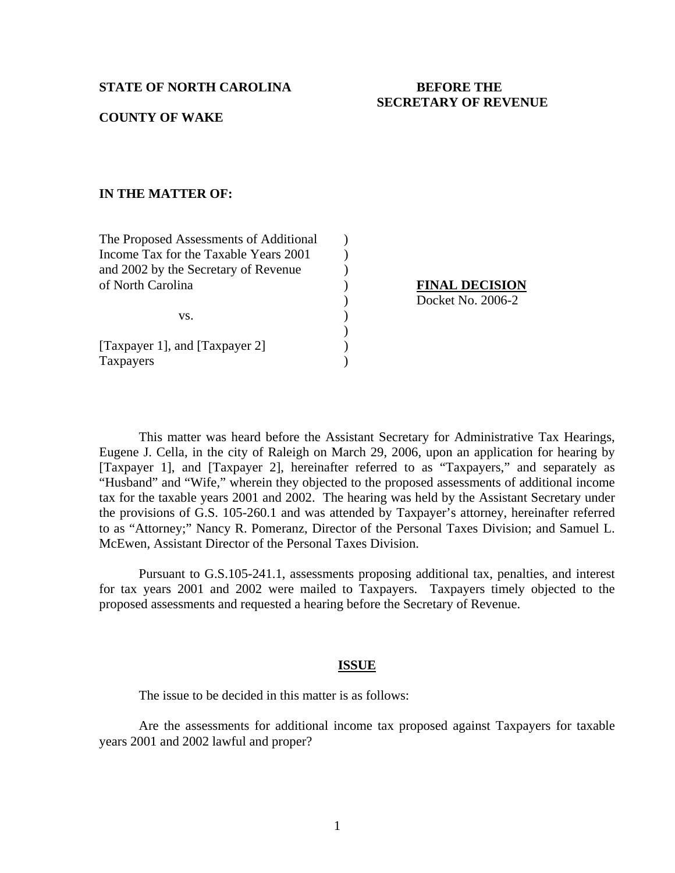### **STATE OF NORTH CAROLINA BEFORE THE**

# **SECRETARY OF REVENUE**

## **COUNTY OF WAKE**

## **IN THE MATTER OF:**

| The Proposed Assessments of Additional |  |
|----------------------------------------|--|
| Income Tax for the Taxable Years 2001  |  |
| and 2002 by the Secretary of Revenue   |  |
| of North Carolina                      |  |
|                                        |  |
| VS.                                    |  |
|                                        |  |
| [Taxpayer 1], and [Taxpayer 2]         |  |
| Taxpayers                              |  |
|                                        |  |

**between SERVICE SERVICE SERVICE SERVICE SERVICE SERVICE SERVICE SERVICE SERVICE SERVICE SERVICE SERVICE SERVICE SERVICE SERVICE SERVICE SERVICE SERVICE SERVICE SERVICE SERVICE SERVICE SERVICE SERVICE SERVICE SERVICE SERVI** ) Docket No. 2006-2

 This matter was heard before the Assistant Secretary for Administrative Tax Hearings, Eugene J. Cella, in the city of Raleigh on March 29, 2006, upon an application for hearing by [Taxpayer 1], and [Taxpayer 2], hereinafter referred to as "Taxpayers," and separately as "Husband" and "Wife," wherein they objected to the proposed assessments of additional income tax for the taxable years 2001 and 2002. The hearing was held by the Assistant Secretary under the provisions of G.S. 105-260.1 and was attended by Taxpayer's attorney, hereinafter referred to as "Attorney;" Nancy R. Pomeranz, Director of the Personal Taxes Division; and Samuel L. McEwen, Assistant Director of the Personal Taxes Division.

 Pursuant to G.S.105-241.1, assessments proposing additional tax, penalties, and interest for tax years 2001 and 2002 were mailed to Taxpayers. Taxpayers timely objected to the proposed assessments and requested a hearing before the Secretary of Revenue.

#### **ISSUE**

The issue to be decided in this matter is as follows:

 Are the assessments for additional income tax proposed against Taxpayers for taxable years 2001 and 2002 lawful and proper?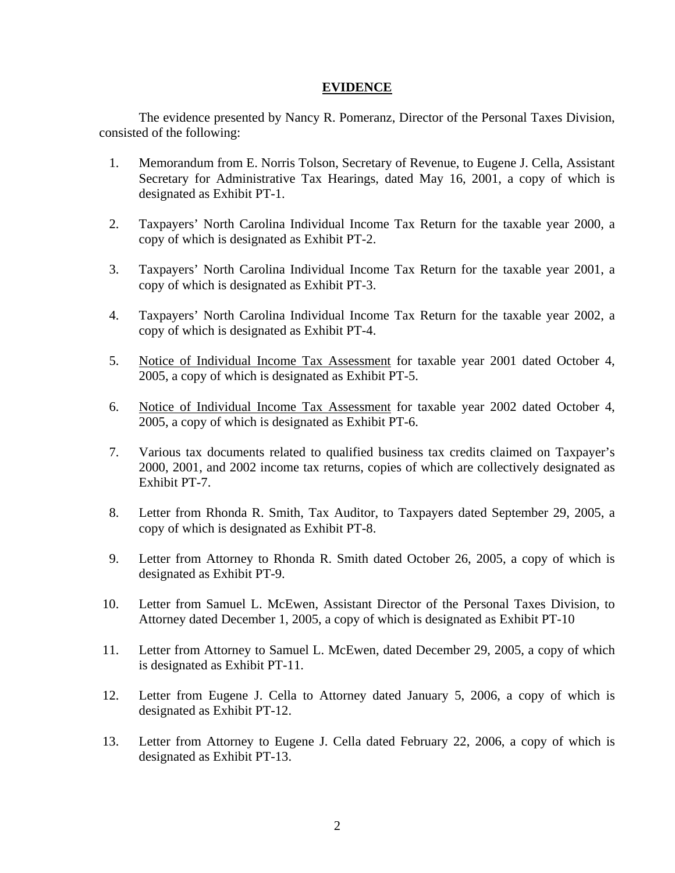## **EVIDENCE**

The evidence presented by Nancy R. Pomeranz, Director of the Personal Taxes Division, consisted of the following:

- 1. Memorandum from E. Norris Tolson, Secretary of Revenue, to Eugene J. Cella, Assistant Secretary for Administrative Tax Hearings, dated May 16, 2001, a copy of which is designated as Exhibit PT-1.
- 2. Taxpayers' North Carolina Individual Income Tax Return for the taxable year 2000, a copy of which is designated as Exhibit PT-2.
- 3. Taxpayers' North Carolina Individual Income Tax Return for the taxable year 2001, a copy of which is designated as Exhibit PT-3.
- 4. Taxpayers' North Carolina Individual Income Tax Return for the taxable year 2002, a copy of which is designated as Exhibit PT-4.
- 5. Notice of Individual Income Tax Assessment for taxable year 2001 dated October 4, 2005, a copy of which is designated as Exhibit PT-5.
- 6. Notice of Individual Income Tax Assessment for taxable year 2002 dated October 4, 2005, a copy of which is designated as Exhibit PT-6.
- 7. Various tax documents related to qualified business tax credits claimed on Taxpayer's 2000, 2001, and 2002 income tax returns, copies of which are collectively designated as Exhibit PT-7.
- 8. Letter from Rhonda R. Smith, Tax Auditor, to Taxpayers dated September 29, 2005, a copy of which is designated as Exhibit PT-8.
- 9. Letter from Attorney to Rhonda R. Smith dated October 26, 2005, a copy of which is designated as Exhibit PT-9.
- 10. Letter from Samuel L. McEwen, Assistant Director of the Personal Taxes Division, to Attorney dated December 1, 2005, a copy of which is designated as Exhibit PT-10
- 11. Letter from Attorney to Samuel L. McEwen, dated December 29, 2005, a copy of which is designated as Exhibit PT-11.
- 12. Letter from Eugene J. Cella to Attorney dated January 5, 2006, a copy of which is designated as Exhibit PT-12.
- 13. Letter from Attorney to Eugene J. Cella dated February 22, 2006, a copy of which is designated as Exhibit PT-13.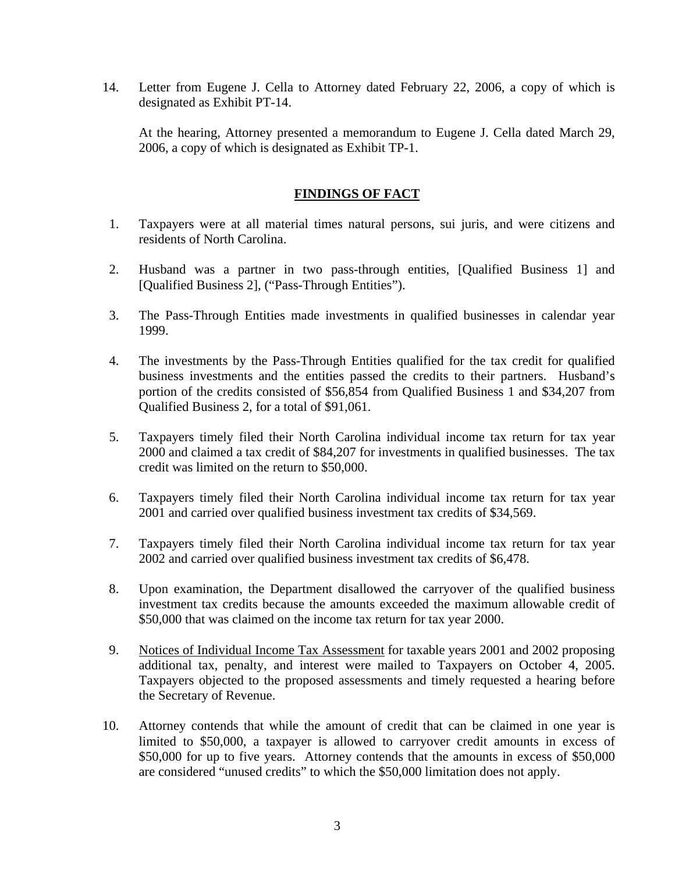14. Letter from Eugene J. Cella to Attorney dated February 22, 2006, a copy of which is designated as Exhibit PT-14.

At the hearing, Attorney presented a memorandum to Eugene J. Cella dated March 29, 2006, a copy of which is designated as Exhibit TP-1.

# **FINDINGS OF FACT**

- 1. Taxpayers were at all material times natural persons, sui juris, and were citizens and residents of North Carolina.
- 2. Husband was a partner in two pass-through entities, [Qualified Business 1] and [Qualified Business 2], ("Pass-Through Entities").
- 3. The Pass-Through Entities made investments in qualified businesses in calendar year 1999.
- 4. The investments by the Pass-Through Entities qualified for the tax credit for qualified business investments and the entities passed the credits to their partners. Husband's portion of the credits consisted of \$56,854 from Qualified Business 1 and \$34,207 from Qualified Business 2, for a total of \$91,061.
- 5. Taxpayers timely filed their North Carolina individual income tax return for tax year 2000 and claimed a tax credit of \$84,207 for investments in qualified businesses. The tax credit was limited on the return to \$50,000.
- 6. Taxpayers timely filed their North Carolina individual income tax return for tax year 2001 and carried over qualified business investment tax credits of \$34,569.
- 7. Taxpayers timely filed their North Carolina individual income tax return for tax year 2002 and carried over qualified business investment tax credits of \$6,478.
- 8. Upon examination, the Department disallowed the carryover of the qualified business investment tax credits because the amounts exceeded the maximum allowable credit of \$50,000 that was claimed on the income tax return for tax year 2000.
- 9. Notices of Individual Income Tax Assessment for taxable years 2001 and 2002 proposing additional tax, penalty, and interest were mailed to Taxpayers on October 4, 2005. Taxpayers objected to the proposed assessments and timely requested a hearing before the Secretary of Revenue.
- 10. Attorney contends that while the amount of credit that can be claimed in one year is limited to \$50,000, a taxpayer is allowed to carryover credit amounts in excess of \$50,000 for up to five years. Attorney contends that the amounts in excess of \$50,000 are considered "unused credits" to which the \$50,000 limitation does not apply.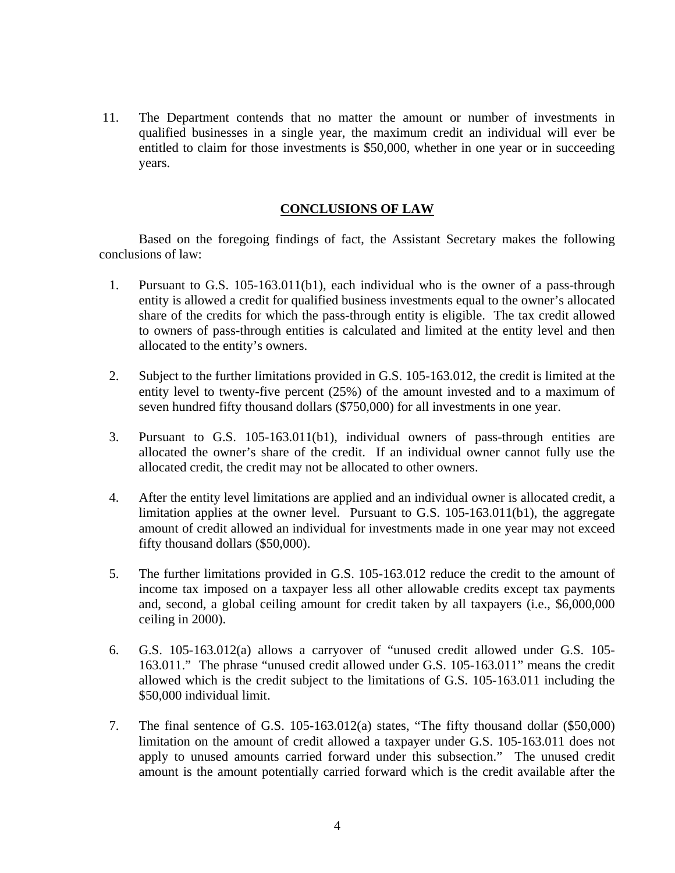11. The Department contends that no matter the amount or number of investments in qualified businesses in a single year, the maximum credit an individual will ever be entitled to claim for those investments is \$50,000, whether in one year or in succeeding years.

## **CONCLUSIONS OF LAW**

 Based on the foregoing findings of fact, the Assistant Secretary makes the following conclusions of law:

- 1. Pursuant to G.S. 105-163.011(b1), each individual who is the owner of a pass-through entity is allowed a credit for qualified business investments equal to the owner's allocated share of the credits for which the pass-through entity is eligible. The tax credit allowed to owners of pass-through entities is calculated and limited at the entity level and then allocated to the entity's owners.
- 2. Subject to the further limitations provided in G.S. 105-163.012, the credit is limited at the entity level to twenty-five percent (25%) of the amount invested and to a maximum of seven hundred fifty thousand dollars (\$750,000) for all investments in one year.
- 3. Pursuant to G.S. 105-163.011(b1), individual owners of pass-through entities are allocated the owner's share of the credit. If an individual owner cannot fully use the allocated credit, the credit may not be allocated to other owners.
- 4. After the entity level limitations are applied and an individual owner is allocated credit, a limitation applies at the owner level. Pursuant to G.S.  $105-163.011(b1)$ , the aggregate amount of credit allowed an individual for investments made in one year may not exceed fifty thousand dollars (\$50,000).
- 5. The further limitations provided in G.S. 105-163.012 reduce the credit to the amount of income tax imposed on a taxpayer less all other allowable credits except tax payments and, second, a global ceiling amount for credit taken by all taxpayers (i.e., \$6,000,000 ceiling in 2000).
- 6. G.S. 105-163.012(a) allows a carryover of "unused credit allowed under G.S. 105- 163.011." The phrase "unused credit allowed under G.S. 105-163.011" means the credit allowed which is the credit subject to the limitations of G.S. 105-163.011 including the \$50,000 individual limit.
- 7. The final sentence of G.S. 105-163.012(a) states, "The fifty thousand dollar (\$50,000) limitation on the amount of credit allowed a taxpayer under G.S. 105-163.011 does not apply to unused amounts carried forward under this subsection." The unused credit amount is the amount potentially carried forward which is the credit available after the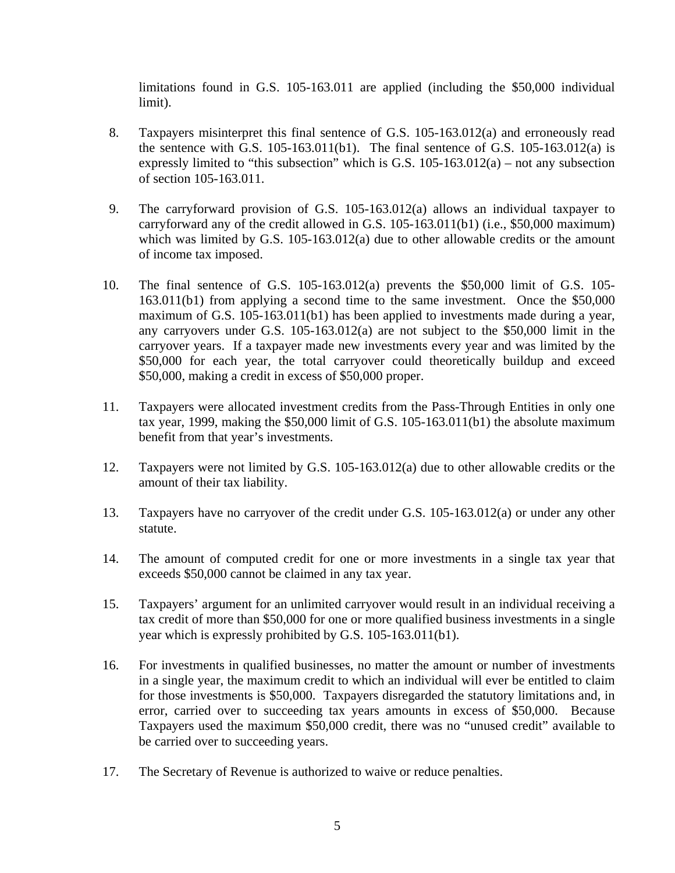limitations found in G.S. 105-163.011 are applied (including the \$50,000 individual limit).

- 8. Taxpayers misinterpret this final sentence of G.S. 105-163.012(a) and erroneously read the sentence with G.S.  $105-163.011(b1)$ . The final sentence of G.S.  $105-163.012(a)$  is expressly limited to "this subsection" which is G.S.  $105-163.012(a)$  – not any subsection of section 105-163.011.
- 9. The carryforward provision of G.S. 105-163.012(a) allows an individual taxpayer to carryforward any of the credit allowed in G.S. 105-163.011(b1) (i.e., \$50,000 maximum) which was limited by G.S. 105-163.012(a) due to other allowable credits or the amount of income tax imposed.
- 10. The final sentence of G.S. 105-163.012(a) prevents the \$50,000 limit of G.S. 105- 163.011(b1) from applying a second time to the same investment. Once the \$50,000 maximum of G.S. 105-163.011(b1) has been applied to investments made during a year, any carryovers under G.S. 105-163.012(a) are not subject to the \$50,000 limit in the carryover years. If a taxpayer made new investments every year and was limited by the \$50,000 for each year, the total carryover could theoretically buildup and exceed \$50,000, making a credit in excess of \$50,000 proper.
- 11. Taxpayers were allocated investment credits from the Pass-Through Entities in only one tax year, 1999, making the \$50,000 limit of G.S. 105-163.011(b1) the absolute maximum benefit from that year's investments.
- 12. Taxpayers were not limited by G.S. 105-163.012(a) due to other allowable credits or the amount of their tax liability.
- 13. Taxpayers have no carryover of the credit under G.S. 105-163.012(a) or under any other statute.
- 14. The amount of computed credit for one or more investments in a single tax year that exceeds \$50,000 cannot be claimed in any tax year.
- 15. Taxpayers' argument for an unlimited carryover would result in an individual receiving a tax credit of more than \$50,000 for one or more qualified business investments in a single year which is expressly prohibited by G.S. 105-163.011(b1).
- 16. For investments in qualified businesses, no matter the amount or number of investments in a single year, the maximum credit to which an individual will ever be entitled to claim for those investments is \$50,000. Taxpayers disregarded the statutory limitations and, in error, carried over to succeeding tax years amounts in excess of \$50,000. Because Taxpayers used the maximum \$50,000 credit, there was no "unused credit" available to be carried over to succeeding years.
- 17. The Secretary of Revenue is authorized to waive or reduce penalties.